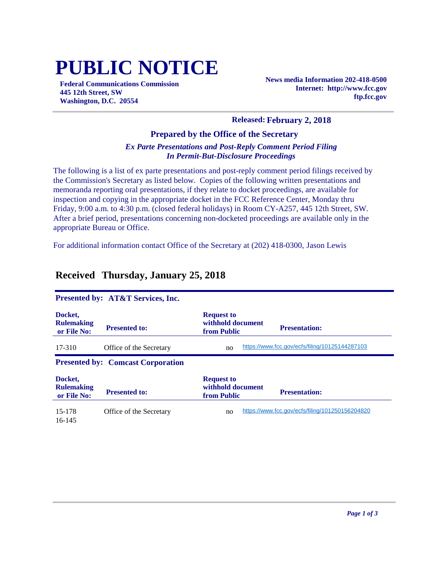# **PUBLIC NOTICE**

**Federal Communications Commission 445 12th Street, SW Washington, D.C. 20554**

**News media Information 202-418-0500 Internet: http://www.fcc.gov ftp.fcc.gov**

#### **Released: February 2, 2018**

#### **Prepared by the Office of the Secretary**

#### *Ex Parte Presentations and Post-Reply Comment Period Filing In Permit-But-Disclosure Proceedings*

The following is a list of ex parte presentations and post-reply comment period filings received by the Commission's Secretary as listed below. Copies of the following written presentations and memoranda reporting oral presentations, if they relate to docket proceedings, are available for inspection and copying in the appropriate docket in the FCC Reference Center, Monday thru Friday, 9:00 a.m. to 4:30 p.m. (closed federal holidays) in Room CY-A257, 445 12th Street, SW. After a brief period, presentations concerning non-docketed proceedings are available only in the appropriate Bureau or Office.

For additional information contact Office of the Secretary at (202) 418-0300, Jason Lewis

| Presented by: AT&T Services, Inc.           |                         |                                                                               |  |  |
|---------------------------------------------|-------------------------|-------------------------------------------------------------------------------|--|--|
| Docket,<br><b>Rulemaking</b><br>or File No: | <b>Presented to:</b>    | <b>Request to</b><br>withhold document<br><b>Presentation:</b><br>from Public |  |  |
| 17-310                                      | Office of the Secretary | https://www.fcc.gov/ecfs/filing/10125144287103<br>no                          |  |  |
| <b>Presented by: Comcast Corporation</b>    |                         |                                                                               |  |  |
| Docket,                                     |                         | <b>Request to</b>                                                             |  |  |
| <b>Rulemaking</b><br>or File No:            | <b>Presented to:</b>    | withhold document<br><b>Presentation:</b><br>from Public                      |  |  |
| 15-178<br>16-145                            | Office of the Secretary | https://www.fcc.gov/ecfs/filing/101250156204820<br>no                         |  |  |

## **Received Thursday, January 25, 2018**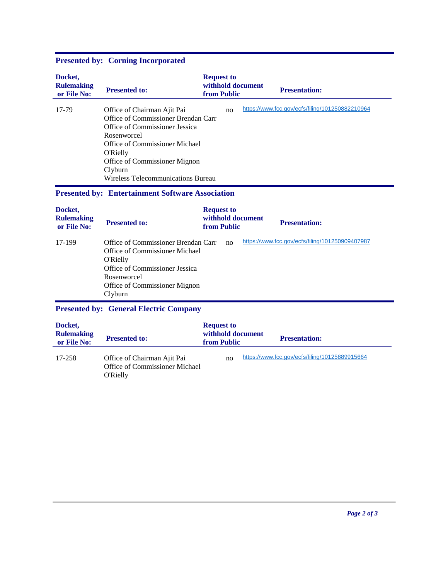| Docket,<br><b>Rulemaking</b><br>or File No: | <b>Presented to:</b>                                                                                                                                                                                                                                       | <b>Request to</b><br>withhold document<br>from Public | <b>Presentation:</b>                            |
|---------------------------------------------|------------------------------------------------------------------------------------------------------------------------------------------------------------------------------------------------------------------------------------------------------------|-------------------------------------------------------|-------------------------------------------------|
| 17-79                                       | Office of Chairman Ajit Pai<br>Office of Commissioner Brendan Carr<br>Office of Commissioner Jessica<br>Rosenworcel<br>Office of Commissioner Michael<br><b>O'Rielly</b><br>Office of Commissioner Mignon<br>Clyburn<br>Wireless Telecommunications Bureau | no                                                    | https://www.fcc.gov/ecfs/filing/101250882210964 |
|                                             | <b>Presented by: Entertainment Software Association</b>                                                                                                                                                                                                    |                                                       |                                                 |
| Docket,<br><b>Rulemaking</b><br>or File No: | <b>Presented to:</b>                                                                                                                                                                                                                                       | <b>Request to</b><br>withhold document<br>from Public | <b>Presentation:</b>                            |
| 17 100                                      | $Office of Commissionor Branden Corr1$                                                                                                                                                                                                                     |                                                       | https://www.fcc.gov/ecfs/filing/101250909407987 |

## **Presented by: Corning Incorporated**

#### **Presented by: General Electric Company**

| Docket,<br><b>Rulemaking</b><br>or File No: | <b>Presented to:</b>                                                             | <b>Request to</b><br>withhold document<br><b>from Public</b> | <b>Presentation:</b>                           |
|---------------------------------------------|----------------------------------------------------------------------------------|--------------------------------------------------------------|------------------------------------------------|
| 17-258                                      | Office of Chairman Ajit Pai<br>Office of Commissioner Michael<br><b>O'Rielly</b> | no                                                           | https://www.fcc.gov/ecfs/filing/10125889915664 |